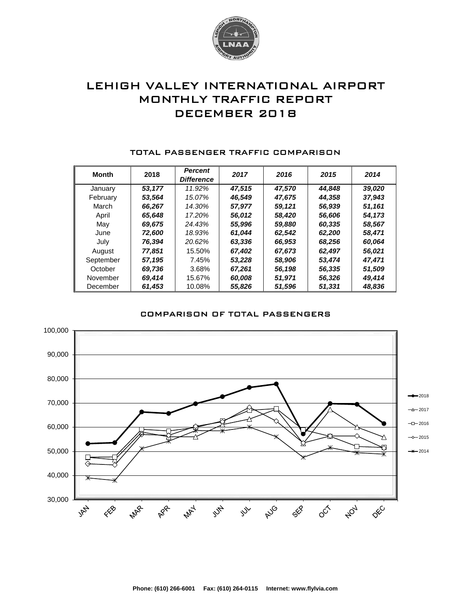

# LEHIGH VALLEY INTERNATIONAL AIRPORT MONTHLY TRAFFIC REPORT DECEMBER 2018

| <b>Month</b> | 2018   | <b>Percent</b><br><b>Difference</b> | 2017   | 2016   | 2015   | 2014   |
|--------------|--------|-------------------------------------|--------|--------|--------|--------|
| January      | 53.177 | 11.92%                              | 47.515 | 47,570 | 44.848 | 39,020 |
| February     | 53,564 | 15.07%                              | 46,549 | 47,675 | 44,358 | 37,943 |
| March        | 66,267 | 14.30%                              | 57,977 | 59,121 | 56,939 | 51,161 |
| April        | 65,648 | 17.20%                              | 56,012 | 58.420 | 56,606 | 54,173 |
| May          | 69,675 | 24.43%                              | 55,996 | 59,880 | 60,335 | 58,567 |
| June         | 72.600 | 18.93%                              | 61.044 | 62,542 | 62,200 | 58,471 |
| July         | 76,394 | 20.62%                              | 63,336 | 66,953 | 68,256 | 60,064 |
| August       | 77.851 | 15.50%                              | 67.402 | 67,673 | 62,497 | 56,021 |
| September    | 57.195 | 7.45%                               | 53.228 | 58,906 | 53.474 | 47.471 |
| October      | 69,736 | 3.68%                               | 67,261 | 56,198 | 56,335 | 51,509 |
| November     | 69,414 | 15.67%                              | 60,008 | 51,971 | 56,326 | 49,414 |
| December     | 61,453 | 10.08%                              | 55,826 | 51,596 | 51,331 | 48,836 |

#### TOTAL PASSENGER TRAFFIC COMPARISON

## COMPARISON OF TOTAL PASSENGERS

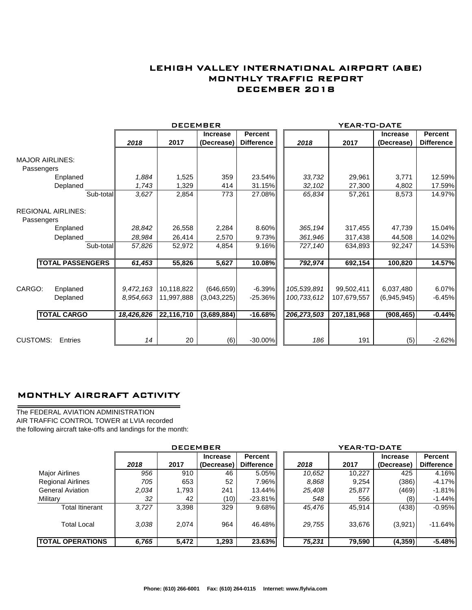## LEHIGH VALLEY INTERNATIONAL AIRPORT (ABE) MONTHLY TRAFFIC REPORT DECEMBER 2018

|                                         |                         |            | <b>DECEMBER</b> |                 |                   |             | YEAR-TO-DATE |                 |                   |
|-----------------------------------------|-------------------------|------------|-----------------|-----------------|-------------------|-------------|--------------|-----------------|-------------------|
|                                         |                         |            |                 | <b>Increase</b> | <b>Percent</b>    |             |              | <b>Increase</b> | Percent           |
|                                         |                         | 2018       | 2017            | (Decrease)      | <b>Difference</b> | 2018        | 2017         | (Decrease)      | <b>Difference</b> |
| <b>MAJOR AIRLINES:</b>                  |                         |            |                 |                 |                   |             |              |                 |                   |
| Passengers                              |                         |            |                 |                 |                   |             |              |                 |                   |
|                                         | Enplaned                | 1,884      | 1,525           | 359             | 23.54%            | 33,732      | 29,961       | 3,771           | 12.59%            |
|                                         | Deplaned                | 1,743      | 1,329           | 414             | 31.15%            | 32,102      | 27,300       | 4,802           | 17.59%            |
|                                         | Sub-total               | 3,627      | 2,854           | 773             | 27.08%            | 65,834      | 57,261       | 8,573           | 14.97%            |
| <b>REGIONAL AIRLINES:</b><br>Passengers |                         |            |                 |                 |                   |             |              |                 |                   |
|                                         | Enplaned                | 28,842     | 26,558          | 2,284           | 8.60%             | 365,194     | 317,455      | 47,739          | 15.04%            |
|                                         | Deplaned                | 28,984     | 26,414          | 2,570           | 9.73%             | 361,946     | 317,438      | 44,508          | 14.02%            |
|                                         | Sub-total               | 57,826     | 52,972          | 4,854           | 9.16%             | 727,140     | 634,893      | 92,247          | 14.53%            |
|                                         | <b>TOTAL PASSENGERS</b> | 61,453     | 55,826          | 5,627           | 10.08%            | 792,974     | 692,154      | 100,820         | 14.57%            |
|                                         |                         |            |                 |                 |                   |             |              |                 |                   |
| CARGO:                                  | Enplaned                | 9,472,163  | 10,118,822      | (646, 659)      | $-6.39%$          | 105,539,891 | 99,502,411   | 6,037,480       | 6.07%             |
|                                         | Deplaned                | 8.954.663  | 11,997,888      | (3,043,225)     | $-25.36%$         | 100,733,612 | 107.679.557  | (6,945,945)     | $-6.45%$          |
| <b>TOTAL CARGO</b>                      |                         | 18,426,826 | 22,116,710      | (3,689,884)     | $-16.68%$         | 206,273,503 | 207,181,968  | (908, 465)      | $-0.44%$          |
|                                         |                         |            |                 |                 |                   |             |              |                 |                   |
| <b>CUSTOMS:</b>                         | Entries                 | 14         | 20              | (6)             | $-30.00\%$        | 186         | 191          | (5)             | $-2.62%$          |

## MONTHLY AIRCRAFT ACTIVITY

The FEDERAL AVIATION ADMINISTRATION AIR TRAFFIC CONTROL TOWER at LVIA recorded the following aircraft take-offs and landings for the month:

÷.

|                          | <b>DECEMBER</b> |       |                               |                              |  | YEAR-TO-DATE |        |                               |                              |  |
|--------------------------|-----------------|-------|-------------------------------|------------------------------|--|--------------|--------|-------------------------------|------------------------------|--|
|                          | 2018            | 2017  | <b>Increase</b><br>(Decrease) | <b>Percent</b><br>Difference |  | 2018         | 2017   | <b>Increase</b><br>(Decrease) | Percent<br><b>Difference</b> |  |
| <b>Major Airlines</b>    | 956             | 910   | 46                            | $5.05\%$                     |  | 10.652       | 10,227 | 425                           | 4.16%                        |  |
| <b>Regional Airlines</b> | 705             | 653   | 52                            | $7.96\%$                     |  | 8.868        | 9,254  | (386)                         | $-4.17\%$                    |  |
| <b>General Aviation</b>  | 2.034           | 1,793 | 241                           | 13.44%I                      |  | 25,408       | 25,877 | (469)                         | $-1.81\%$                    |  |
| Military                 | 32              | 42    | (10)                          | $-23.81%$                    |  | 548          | 556    | (8)                           | $-1.44\%$                    |  |
| Total Itinerant          | 3.727           | 3,398 | 329                           | $9.68\%$                     |  | 45,476       | 45,914 | (438)                         | $-0.95\%$                    |  |
| <b>Total Local</b>       | 3.038           | 2.074 | 964                           | 46.48%                       |  | 29,755       | 33,676 | (3,921)                       | $-11.64%$                    |  |
| <b>TOTAL OPERATIONS</b>  | 6,765           | 5,472 | 1,293                         | 23.63%                       |  | 75,231       | 79,590 | (4, 359)                      | $-5.48%$                     |  |